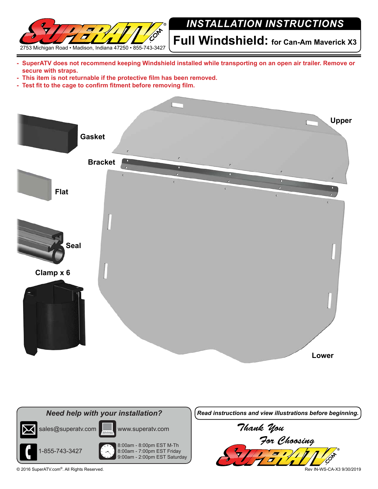

## *INSTALLATION INSTRUCTIONS*

**Full Windshield: for Can-Am Maverick X3**

- **- SuperATV does not recommend keeping Windshield installed while transporting on an open air trailer. Remove or secure with straps.**
- **- This item is not returnable if the protective film has been removed.**
- **- Test fit to the cage to confirm fitment before removing film.**







© 2016 SuperATV.com®. All Rights Reserved. Rev IN-WS-CA-X3 9/30/2019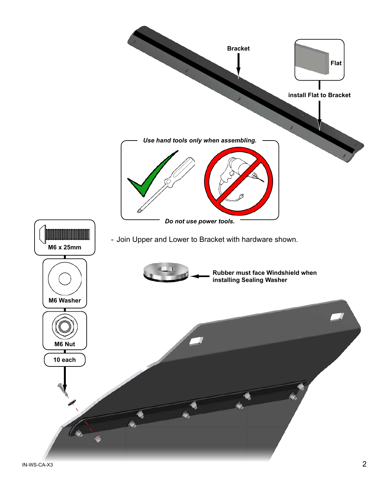

 $N$ -WS-CA-X3  $2$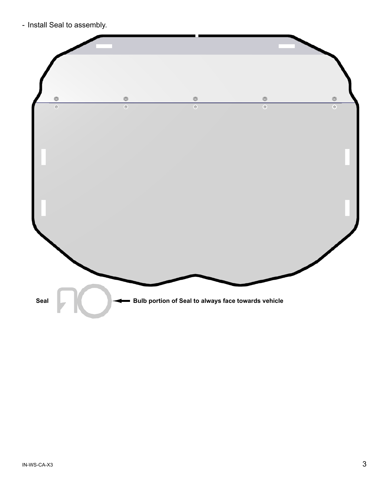- Install Seal to assembly.

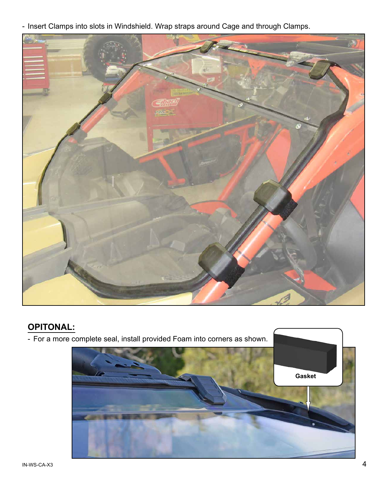- Insert Clamps into slots in Windshield. Wrap straps around Cage and through Clamps.



## **OPITONAL:**

- For a more complete seal, install provided Foam into corners as shown. **Gasket**
- $1$ N-WS-CA-X3  $4$